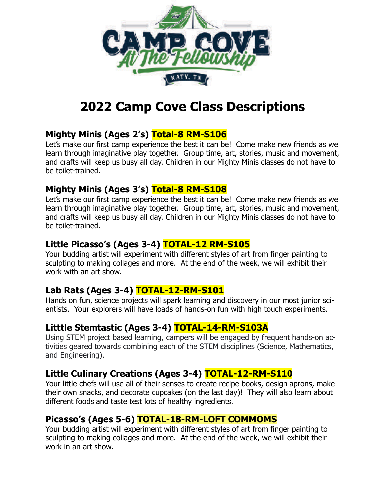

# **2022 Camp Cove Class Descriptions**

## **Mighty Minis (Ages 2's) Total-8 RM-S106**

Let's make our first camp experience the best it can be! Come make new friends as we learn through imaginative play together. Group time, art, stories, music and movement, and crafts will keep us busy all day. Children in our Mighty Minis classes do not have to be toilet-trained.

#### **Mighty Minis (Ages 3's) Total-8 RM-S108**

Let's make our first camp experience the best it can be! Come make new friends as we learn through imaginative play together. Group time, art, stories, music and movement, and crafts will keep us busy all day. Children in our Mighty Minis classes do not have to be toilet-trained.

## **Little Picasso's (Ages 3-4) TOTAL-12 RM-S105**

Your budding artist will experiment with different styles of art from finger painting to sculpting to making collages and more. At the end of the week, we will exhibit their work with an art show.

## **Lab Rats (Ages 3-4) TOTAL-12-RM-S101**

Hands on fun, science projects will spark learning and discovery in our most junior scientists. Your explorers will have loads of hands-on fun with high touch experiments.

## **Litttle Stemtastic (Ages 3-4) TOTAL-14-RM-S103A**

Using STEM project based learning, campers will be engaged by frequent hands-on activities geared towards combining each of the STEM disciplines (Science, Mathematics, and Engineering).

#### **Little Culinary Creations (Ages 3-4) TOTAL-12-RM-S110**

Your little chefs will use all of their senses to create recipe books, design aprons, make their own snacks, and decorate cupcakes (on the last day)! They will also learn about different foods and taste test lots of healthy ingredients.

#### **Picasso's (Ages 5-6) TOTAL-18-RM-LOFT COMMOMS**

Your budding artist will experiment with different styles of art from finger painting to sculpting to making collages and more. At the end of the week, we will exhibit their work in an art show.